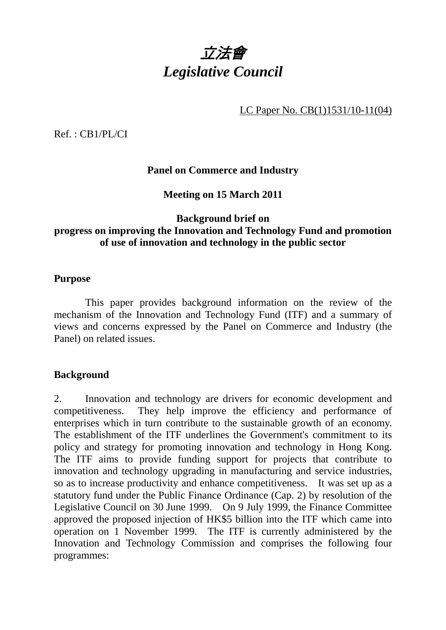

LC Paper No. CB(1)1531/10-11(04)

Ref. : CB1/PL/CI

## **Panel on Commerce and Industry**

**Meeting on 15 March 2011** 

## **Background brief on progress on improving the Innovation and Technology Fund and promotion of use of innovation and technology in the public sector**

#### **Purpose**

 This paper provides background information on the review of the mechanism of the Innovation and Technology Fund (ITF) and a summary of views and concerns expressed by the Panel on Commerce and Industry (the Panel) on related issues.

#### **Background**

2. Innovation and technology are drivers for economic development and competitiveness. They help improve the efficiency and performance of enterprises which in turn contribute to the sustainable growth of an economy. The establishment of the ITF underlines the Government's commitment to its policy and strategy for promoting innovation and technology in Hong Kong. The ITF aims to provide funding support for projects that contribute to innovation and technology upgrading in manufacturing and service industries, so as to increase productivity and enhance competitiveness. It was set up as a statutory fund under the Public Finance Ordinance (Cap. 2) by resolution of the Legislative Council on 30 June 1999. On 9 July 1999, the Finance Committee approved the proposed injection of HK\$5 billion into the ITF which came into operation on 1 November 1999. The ITF is currently administered by the Innovation and Technology Commission and comprises the following four programmes: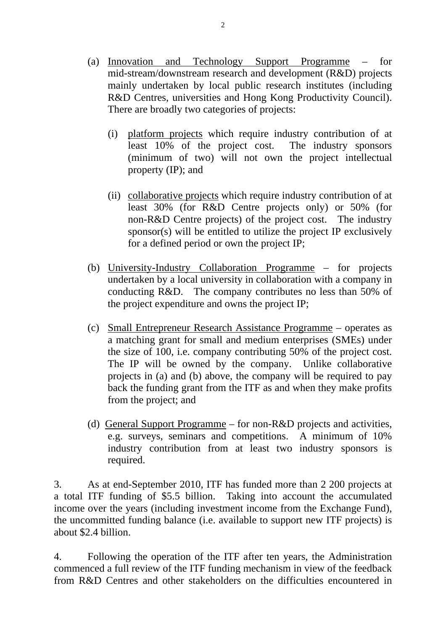- (a) Innovation and Technology Support Programme  $$ mid-stream/downstream research and development (R&D) projects mainly undertaken by local public research institutes (including R&D Centres, universities and Hong Kong Productivity Council). There are broadly two categories of projects:
	- (i) platform projects which require industry contribution of at least 10% of the project cost. The industry sponsors (minimum of two) will not own the project intellectual property (IP); and
	- (ii) collaborative projects which require industry contribution of at least 30% (for R&D Centre projects only) or 50% (for non-R&D Centre projects) of the project cost. The industry sponsor(s) will be entitled to utilize the project IP exclusively for a defined period or own the project IP;
- (b) University-Industry Collaboration Programme for projects undertaken by a local university in collaboration with a company in conducting R&D. The company contributes no less than 50% of the project expenditure and owns the project IP;
- (c) Small Entrepreneur Research Assistance Programme operates as a matching grant for small and medium enterprises (SMEs) under the size of 100, i.e. company contributing 50% of the project cost. The IP will be owned by the company. Unlike collaborative projects in (a) and (b) above, the company will be required to pay back the funding grant from the ITF as and when they make profits from the project; and
- (d) General Support Programme for non-R&D projects and activities, e.g. surveys, seminars and competitions. A minimum of 10% industry contribution from at least two industry sponsors is required.

3. As at end-September 2010, ITF has funded more than 2 200 projects at a total ITF funding of \$5.5 billion. Taking into account the accumulated income over the years (including investment income from the Exchange Fund), the uncommitted funding balance (i.e. available to support new ITF projects) is about \$2.4 billion.

4. Following the operation of the ITF after ten years, the Administration commenced a full review of the ITF funding mechanism in view of the feedback from R&D Centres and other stakeholders on the difficulties encountered in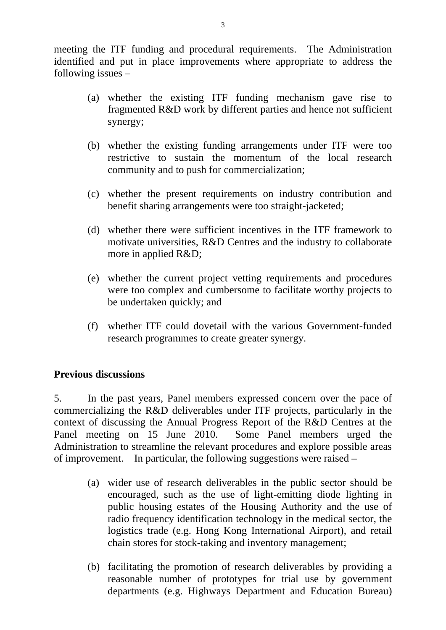meeting the ITF funding and procedural requirements. The Administration identified and put in place improvements where appropriate to address the following issues –

- (a) whether the existing ITF funding mechanism gave rise to fragmented R&D work by different parties and hence not sufficient synergy;
- (b) whether the existing funding arrangements under ITF were too restrictive to sustain the momentum of the local research community and to push for commercialization;
- (c) whether the present requirements on industry contribution and benefit sharing arrangements were too straight-jacketed;
- (d) whether there were sufficient incentives in the ITF framework to motivate universities, R&D Centres and the industry to collaborate more in applied R&D;
- (e) whether the current project vetting requirements and procedures were too complex and cumbersome to facilitate worthy projects to be undertaken quickly; and
- (f) whether ITF could dovetail with the various Government-funded research programmes to create greater synergy.

#### **Previous discussions**

5. In the past years, Panel members expressed concern over the pace of commercializing the R&D deliverables under ITF projects, particularly in the context of discussing the Annual Progress Report of the R&D Centres at the Panel meeting on 15 June 2010. Some Panel members urged the Administration to streamline the relevant procedures and explore possible areas of improvement. In particular, the following suggestions were raised –

- (a) wider use of research deliverables in the public sector should be encouraged, such as the use of light-emitting diode lighting in public housing estates of the Housing Authority and the use of radio frequency identification technology in the medical sector, the logistics trade (e.g. Hong Kong International Airport), and retail chain stores for stock-taking and inventory management;
- (b) facilitating the promotion of research deliverables by providing a reasonable number of prototypes for trial use by government departments (e.g. Highways Department and Education Bureau)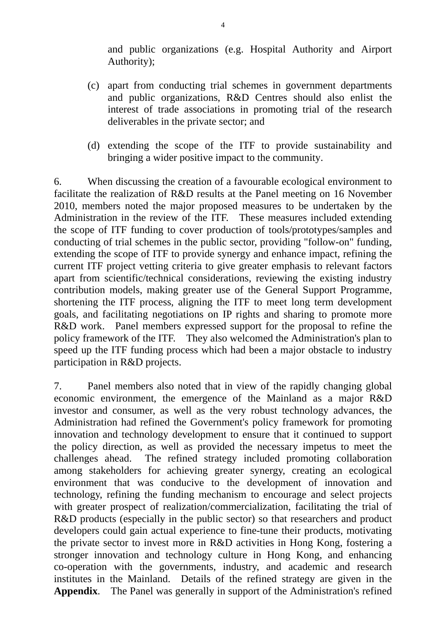and public organizations (e.g. Hospital Authority and Airport Authority);

- (c) apart from conducting trial schemes in government departments and public organizations, R&D Centres should also enlist the interest of trade associations in promoting trial of the research deliverables in the private sector; and
- (d) extending the scope of the ITF to provide sustainability and bringing a wider positive impact to the community.

6. When discussing the creation of a favourable ecological environment to facilitate the realization of R&D results at the Panel meeting on 16 November 2010, members noted the major proposed measures to be undertaken by the Administration in the review of the ITF. These measures included extending the scope of ITF funding to cover production of tools/prototypes/samples and conducting of trial schemes in the public sector, providing "follow-on" funding, extending the scope of ITF to provide synergy and enhance impact, refining the current ITF project vetting criteria to give greater emphasis to relevant factors apart from scientific/technical considerations, reviewing the existing industry contribution models, making greater use of the General Support Programme, shortening the ITF process, aligning the ITF to meet long term development goals, and facilitating negotiations on IP rights and sharing to promote more R&D work. Panel members expressed support for the proposal to refine the policy framework of the ITF. They also welcomed the Administration's plan to speed up the ITF funding process which had been a major obstacle to industry participation in R&D projects.

7. Panel members also noted that in view of the rapidly changing global economic environment, the emergence of the Mainland as a major R&D investor and consumer, as well as the very robust technology advances, the Administration had refined the Government's policy framework for promoting innovation and technology development to ensure that it continued to support the policy direction, as well as provided the necessary impetus to meet the challenges ahead. The refined strategy included promoting collaboration among stakeholders for achieving greater synergy, creating an ecological environment that was conducive to the development of innovation and technology, refining the funding mechanism to encourage and select projects with greater prospect of realization/commercialization, facilitating the trial of R&D products (especially in the public sector) so that researchers and product developers could gain actual experience to fine-tune their products, motivating the private sector to invest more in R&D activities in Hong Kong, fostering a stronger innovation and technology culture in Hong Kong, and enhancing co-operation with the governments, industry, and academic and research institutes in the Mainland. Details of the refined strategy are given in the **Appendix**. The Panel was generally in support of the Administration's refined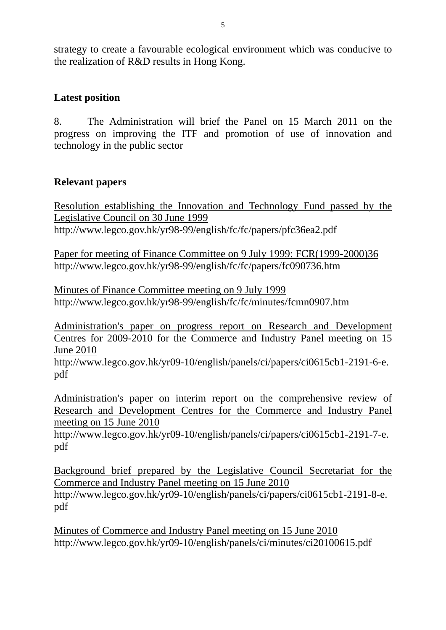strategy to create a favourable ecological environment which was conducive to the realization of R&D results in Hong Kong.

#### **Latest position**

8. The Administration will brief the Panel on 15 March 2011 on the progress on improving the ITF and promotion of use of innovation and technology in the public sector

# **Relevant papers**

Resolution establishing the Innovation and Technology Fund passed by the Legislative Council on 30 June 1999 http://www.legco.gov.hk/yr98-99/english/fc/fc/papers/pfc36ea2.pdf

Paper for meeting of Finance Committee on 9 July 1999: FCR(1999-2000)36 http://www.legco.gov.hk/yr98-99/english/fc/fc/papers/fc090736.htm

Minutes of Finance Committee meeting on 9 July 1999 http://www.legco.gov.hk/yr98-99/english/fc/fc/minutes/fcmn0907.htm

Administration's paper on progress report on Research and Development Centres for 2009-2010 for the Commerce and Industry Panel meeting on 15 June 2010

http://www.legco.gov.hk/yr09-10/english/panels/ci/papers/ci0615cb1-2191-6-e. pdf

Administration's paper on interim report on the comprehensive review of Research and Development Centres for the Commerce and Industry Panel meeting on 15 June 2010

http://www.legco.gov.hk/yr09-10/english/panels/ci/papers/ci0615cb1-2191-7-e. pdf

Background brief prepared by the Legislative Council Secretariat for the Commerce and Industry Panel meeting on 15 June 2010 http://www.legco.gov.hk/yr09-10/english/panels/ci/papers/ci0615cb1-2191-8-e. pdf

Minutes of Commerce and Industry Panel meeting on 15 June 2010 http://www.legco.gov.hk/yr09-10/english/panels/ci/minutes/ci20100615.pdf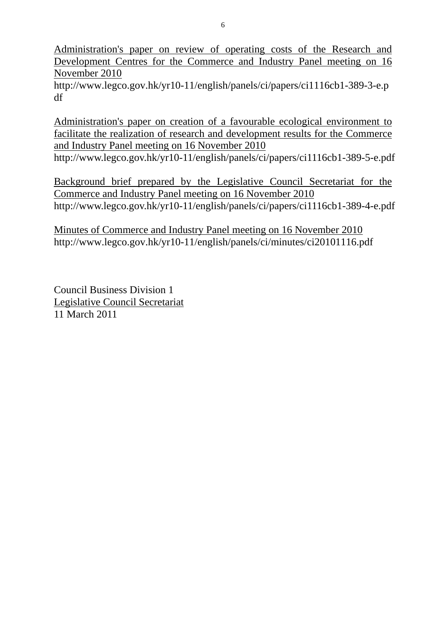Administration's paper on review of operating costs of the Research and Development Centres for the Commerce and Industry Panel meeting on 16 November 2010

http://www.legco.gov.hk/yr10-11/english/panels/ci/papers/ci1116cb1-389-3-e.p df

Administration's paper on creation of a favourable ecological environment to facilitate the realization of research and development results for the Commerce and Industry Panel meeting on 16 November 2010

http://www.legco.gov.hk/yr10-11/english/panels/ci/papers/ci1116cb1-389-5-e.pdf

Background brief prepared by the Legislative Council Secretariat for the Commerce and Industry Panel meeting on 16 November 2010 http://www.legco.gov.hk/yr10-11/english/panels/ci/papers/ci1116cb1-389-4-e.pdf

Minutes of Commerce and Industry Panel meeting on 16 November 2010 http://www.legco.gov.hk/yr10-11/english/panels/ci/minutes/ci20101116.pdf

Council Business Division 1 Legislative Council Secretariat 11 March 2011